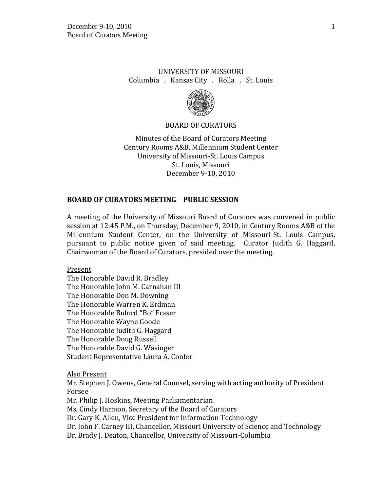# UNIVERSITY OF MISSOURI Columbia . Kansas City . Rolla . St. Louis



#### BOARD OF CURATORS

Minutes of the Board of Curators Meeting Century Rooms A&B, Millennium Student Center University of Missouri-St. Louis Campus St. Louis, Missouri December 9-10, 2010

#### **BOARD OF CURATORS MEETING – PUBLIC SESSION**

A meeting of the University of Missouri Board of Curators was convened in public session at 12:45 P.M., on Thursday, December 9, 2010, in Century Rooms A&B of the Millennium Student Center, on the University of Missouri-St. Louis Campus, pursuant to public notice given of said meeting. Curator Judith G. Haggard, Chairwoman of the Board of Curators, presided over the meeting.

Present

The Honorable David R. Bradley The Honorable John M. Carnahan III The Honorable Don M. Downing The Honorable Warren K. Erdman The Honorable Buford "Bo" Fraser The Honorable Wayne Goode The Honorable Judith G. Haggard The Honorable Doug Russell The Honorable David G. Wasinger Student Representative Laura A. Confer

Also Present

Mr. Stephen J. Owens, General Counsel, serving with acting authority of President Forsee

Mr. Philip J. Hoskins, Meeting Parliamentarian

Ms. Cindy Harmon, Secretary of the Board of Curators

Dr. Gary K. Allen, Vice President for Information Technology

Dr. John F. Carney III, Chancellor, Missouri University of Science and Technology

Dr. Brady J. Deaton, Chancellor, University of Missouri-Columbia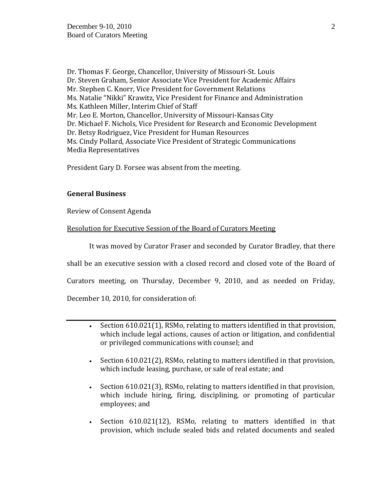Dr. Thomas F. George, Chancellor, University of Missouri-St. Louis Dr. Steven Graham, Senior Associate Vice President for Academic Affairs Mr. Stephen C. Knorr, Vice President for Government Relations Ms. Natalie "Nikki" Krawitz, Vice President for Finance and Administration Ms. Kathleen Miller, Interim Chief of Staff Mr. Leo E. Morton, Chancellor, University of Missouri-Kansas City Dr. Michael F. Nichols, Vice President for Research and Economic Development Dr. Betsy Rodriguez, Vice President for Human Resources Ms. Cindy Pollard, Associate Vice President of Strategic Communications Media Representatives

President Gary D. Forsee was absent from the meeting.

# **General Business**

Review of Consent Agenda

### Resolution for Executive Session of the Board of Curators Meeting

It was moved by Curator Fraser and seconded by Curator Bradley, that there

shall be an executive session with a closed record and closed vote of the Board of

Curators meeting, on Thursday, December 9, 2010, and as needed on Friday,

December 10, 2010, for consideration of:

- Section 610.021(1), RSMo, relating to matters identified in that provision, which include legal actions, causes of action or litigation, and confidential or privileged communications with counsel; and
- Section 610.021(2), RSMo, relating to matters identified in that provision, which include leasing, purchase, or sale of real estate; and
- Section 610.021(3), RSMo, relating to matters identified in that provision, which include hiring, firing, disciplining, or promoting of particular employees; and
- Section 610.021(12), RSMo, relating to matters identified in that provision, which include sealed bids and related documents and sealed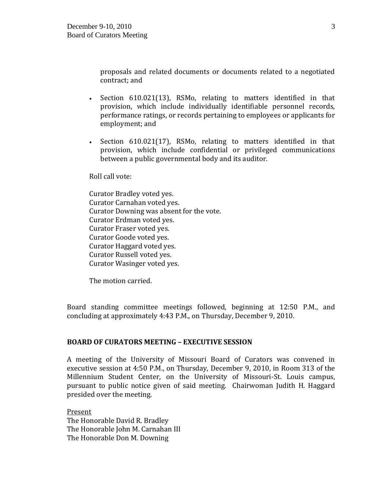proposals and related documents or documents related to a negotiated contract; and

- Section 610.021(13), RSMo, relating to matters identified in that provision, which include individually identifiable personnel records, performance ratings, or records pertaining to employees or applicants for employment; and
- Section 610.021(17), RSMo, relating to matters identified in that provision, which include confidential or privileged communications between a public governmental body and its auditor.

Roll call vote:

Curator Bradley voted yes. Curator Carnahan voted yes. Curator Downing was absent for the vote. Curator Erdman voted yes. Curator Fraser voted yes. Curator Goode voted yes. Curator Haggard voted yes. Curator Russell voted yes. Curator Wasinger voted yes.

The motion carried.

Board standing committee meetings followed, beginning at 12:50 P.M., and concluding at approximately 4:43 P.M., on Thursday, December 9, 2010.

### **BOARD OF CURATORS MEETING – EXECUTIVE SESSION**

A meeting of the University of Missouri Board of Curators was convened in executive session at 4:50 P.M., on Thursday, December 9, 2010, in Room 313 of the Millennium Student Center, on the University of Missouri-St. Louis campus, pursuant to public notice given of said meeting. Chairwoman Judith H. Haggard presided over the meeting.

Present The Honorable David R. Bradley The Honorable John M. Carnahan III The Honorable Don M. Downing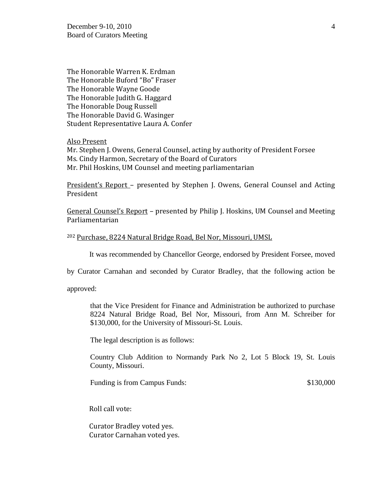The Honorable Warren K. Erdman The Honorable Buford "Bo" Fraser The Honorable Wayne Goode The Honorable Judith G. Haggard The Honorable Doug Russell The Honorable David G. Wasinger Student Representative Laura A. Confer

Also Present

Mr. Stephen J. Owens, General Counsel, acting by authority of President Forsee Ms. Cindy Harmon, Secretary of the Board of Curators Mr. Phil Hoskins, UM Counsel and meeting parliamentarian

President's Report – presented by Stephen J. Owens, General Counsel and Acting President

General Counsel's Report – presented by Philip J. Hoskins, UM Counsel and Meeting Parliamentarian

#### <sup>202</sup> Purchase, 8224 Natural Bridge Road, Bel Nor, Missouri, UMSL

It was recommended by Chancellor George, endorsed by President Forsee, moved

by Curator Carnahan and seconded by Curator Bradley, that the following action be

approved:

that the Vice President for Finance and Administration be authorized to purchase 8224 Natural Bridge Road, Bel Nor, Missouri, from Ann M. Schreiber for \$130,000, for the University of Missouri-St. Louis.

The legal description is as follows:

Country Club Addition to Normandy Park No 2, Lot 5 Block 19, St. Louis County, Missouri.

Funding is from Campus Funds:  $$130,000$ 

Roll call vote:

Curator Bradley voted yes. Curator Carnahan voted yes.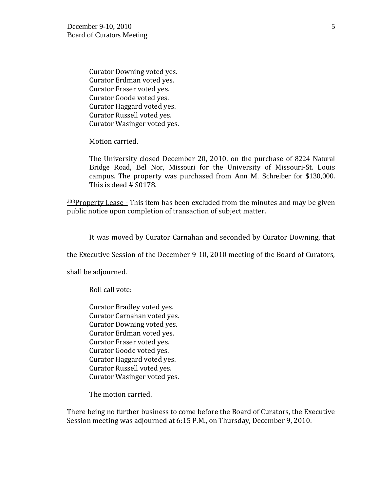Curator Downing voted yes. Curator Erdman voted yes. Curator Fraser voted yes. Curator Goode voted yes. Curator Haggard voted yes. Curator Russell voted yes. Curator Wasinger voted yes.

Motion carried.

The University closed December 20, 2010, on the purchase of 8224 Natural Bridge Road, Bel Nor, Missouri for the University of Missouri-St. Louis campus. The property was purchased from Ann M. Schreiber for \$130,000. This is deed # S0178.

 $203$ Property Lease - This item has been excluded from the minutes and may be given public notice upon completion of transaction of subject matter.

It was moved by Curator Carnahan and seconded by Curator Downing, that

the Executive Session of the December 9-10, 2010 meeting of the Board of Curators,

shall be adjourned.

Roll call vote:

Curator Bradley voted yes. Curator Carnahan voted yes. Curator Downing voted yes. Curator Erdman voted yes. Curator Fraser voted yes. Curator Goode voted yes. Curator Haggard voted yes. Curator Russell voted yes. Curator Wasinger voted yes.

The motion carried.

There being no further business to come before the Board of Curators, the Executive Session meeting was adjourned at 6:15 P.M., on Thursday, December 9, 2010.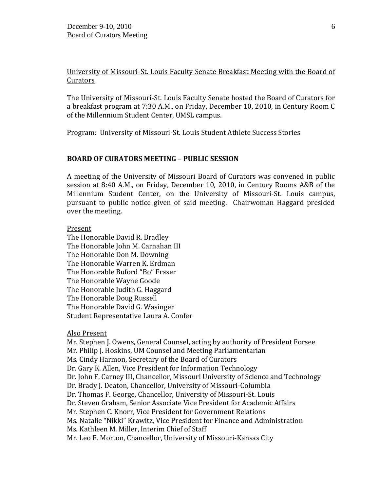### University of Missouri-St. Louis Faculty Senate Breakfast Meeting with the Board of **Curators**

The University of Missouri-St. Louis Faculty Senate hosted the Board of Curators for a breakfast program at 7:30 A.M., on Friday, December 10, 2010, in Century Room C of the Millennium Student Center, UMSL campus.

Program: University of Missouri-St. Louis Student Athlete Success Stories

### **BOARD OF CURATORS MEETING – PUBLIC SESSION**

A meeting of the University of Missouri Board of Curators was convened in public session at 8:40 A.M., on Friday, December 10, 2010, in Century Rooms A&B of the Millennium Student Center, on the University of Missouri-St. Louis campus, pursuant to public notice given of said meeting. Chairwoman Haggard presided over the meeting.

#### Present

The Honorable David R. Bradley The Honorable John M. Carnahan III The Honorable Don M. Downing The Honorable Warren K. Erdman The Honorable Buford "Bo" Fraser The Honorable Wayne Goode The Honorable Judith G. Haggard The Honorable Doug Russell The Honorable David G. Wasinger Student Representative Laura A. Confer

#### Also Present

Mr. Stephen J. Owens, General Counsel, acting by authority of President Forsee Mr. Philip J. Hoskins, UM Counsel and Meeting Parliamentarian Ms. Cindy Harmon, Secretary of the Board of Curators Dr. Gary K. Allen, Vice President for Information Technology Dr. John F. Carney III, Chancellor, Missouri University of Science and Technology Dr. Brady J. Deaton, Chancellor, University of Missouri-Columbia Dr. Thomas F. George, Chancellor, University of Missouri-St. Louis Dr. Steven Graham, Senior Associate Vice President for Academic Affairs Mr. Stephen C. Knorr, Vice President for Government Relations Ms. Natalie "Nikki" Krawitz, Vice President for Finance and Administration Ms. Kathleen M. Miller, Interim Chief of Staff Mr. Leo E. Morton, Chancellor, University of Missouri-Kansas City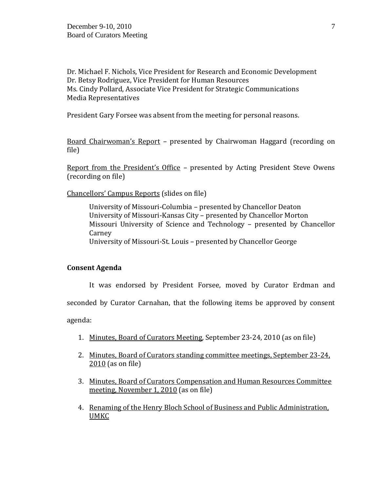Dr. Michael F. Nichols, Vice President for Research and Economic Development Dr. Betsy Rodriguez, Vice President for Human Resources Ms. Cindy Pollard, Associate Vice President for Strategic Communications Media Representatives

President Gary Forsee was absent from the meeting for personal reasons.

Board Chairwoman's Report – presented by Chairwoman Haggard (recording on file)

Report from the President's Office – presented by Acting President Steve Owens (recording on file)

Chancellors' Campus Reports (slides on file)

University of Missouri-Columbia – presented by Chancellor Deaton University of Missouri-Kansas City – presented by Chancellor Morton Missouri University of Science and Technology – presented by Chancellor **Carney** University of Missouri-St. Louis – presented by Chancellor George

#### **Consent Agenda**

It was endorsed by President Forsee, moved by Curator Erdman and

seconded by Curator Carnahan, that the following items be approved by consent

agenda:

- 1. Minutes, Board of Curators Meeting, September 23-24, 2010 (as on file)
- 2. Minutes, Board of Curators standing committee meetings, September 23-24, 2010 (as on file)
- 3. Minutes, Board of Curators Compensation and Human Resources Committee meeting, November 1, 2010 (as on file)
- 4. Renaming of the Henry Bloch School of Business and Public Administration, UMKC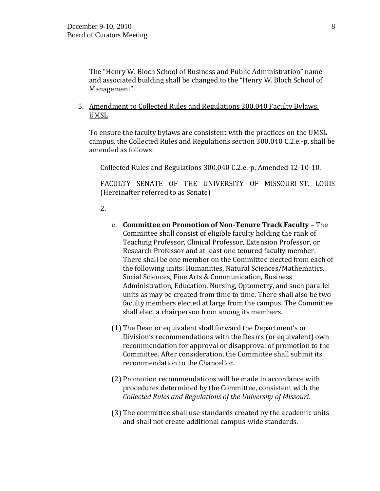The "Henry W. Bloch School of Business and Public Administration" name and associated building shall be changed to the "Henry W. Bloch School of Management".

5. Amendment to Collected Rules and Regulations 300.040 Faculty Bylaws, UMSL

To ensure the faculty bylaws are consistent with the practices on the UMSL campus, the Collected Rules and Regulations section 300.040 C.2.e.-p. shall be amended as follows:

Collected Rules and Regulations 300.040 C.2.e.-p. Amended 12-10-10.

FACULTY SENATE OF THE UNIVERSITY OF MISSOURI-ST. LOUIS (Hereinafter referred to as Senate)

2.

- e. **Committee on Promotion of Non-Tenure Track Faculty** The Committee shall consist of eligible faculty holding the rank of Teaching Professor, Clinical Professor, Extension Professor, or Research Professor and at least one tenured faculty member. There shall be one member on the Committee elected from each of the following units: Humanities, Natural Sciences/Mathematics, Social Sciences, Fine Arts & Communication, Business Administration, Education, Nursing, Optometry, and such parallel units as may be created from time to time. There shall also be two faculty members elected at large from the campus. The Committee shall elect a chairperson from among its members.
- (1) The Dean or equivalent shall forward the Department's or Division's recommendations with the Dean's (or equivalent) own recommendation for approval or disapproval of promotion to the Committee. After consideration, the Committee shall submit its recommendation to the Chancellor.
- (2) Promotion recommendations will be made in accordance with procedures determined by the Committee, consistent with the *Collected Rules and Regulations of the University of Missouri*.
- (3) The committee shall use standards created by the academic units and shall not create additional campus-wide standards.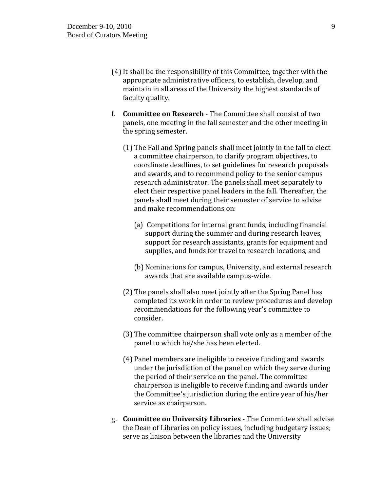- (4)It shall be the responsibility of this Committee, together with the appropriate administrative officers, to establish, develop, and maintain in all areas of the University the highest standards of faculty quality.
- f. **Committee on Research** The Committee shall consist of two panels, one meeting in the fall semester and the other meeting in the spring semester.
	- (1) The Fall and Spring panels shall meet jointly in the fall to elect a committee chairperson, to clarify program objectives, to coordinate deadlines, to set guidelines for research proposals and awards, and to recommend policy to the senior campus research administrator. The panels shall meet separately to elect their respective panel leaders in the fall. Thereafter, the panels shall meet during their semester of service to advise and make recommendations on:
		- (a) Competitions for internal grant funds, including financial support during the summer and during research leaves, support for research assistants, grants for equipment and supplies, and funds for travel to research locations, and
		- (b) Nominations for campus, University, and external research awards that are available campus-wide.
	- (2) The panels shall also meet jointly after the Spring Panel has completed its work in order to review procedures and develop recommendations for the following year's committee to consider.
	- (3) The committee chairperson shall vote only as a member of the panel to which he/she has been elected.
	- (4) Panel members are ineligible to receive funding and awards under the jurisdiction of the panel on which they serve during the period of their service on the panel. The committee chairperson is ineligible to receive funding and awards under the Committee's jurisdiction during the entire year of his/her service as chairperson.
- g. **Committee on University Libraries** The Committee shall advise the Dean of Libraries on policy issues, including budgetary issues; serve as liaison between the libraries and the University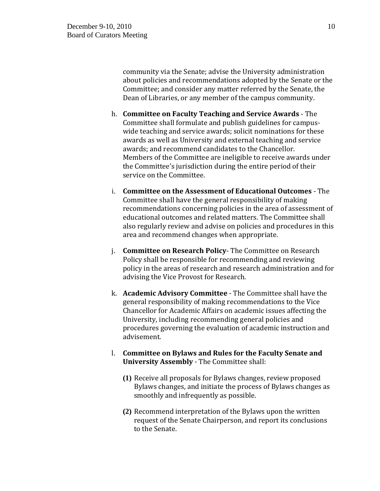community via the Senate; advise the University administration about policies and recommendations adopted by the Senate or the Committee; and consider any matter referred by the Senate, the Dean of Libraries, or any member of the campus community.

- h. **Committee on Faculty Teaching and Service Awards** The Committee shall formulate and publish guidelines for campuswide teaching and service awards; solicit nominations for these awards as well as University and external teaching and service awards; and recommend candidates to the Chancellor. Members of the Committee are ineligible to receive awards under the Committee's jurisdiction during the entire period of their service on the Committee.
- i. **Committee on the Assessment of Educational Outcomes** The Committee shall have the general responsibility of making recommendations concerning policies in the area of assessment of educational outcomes and related matters. The Committee shall also regularly review and advise on policies and procedures in this area and recommend changes when appropriate.
- j. **Committee on Research Policy** The Committee on Research Policy shall be responsible for recommending and reviewing policy in the areas of research and research administration and for advising the Vice Provost for Research.
- k. **Academic Advisory Committee** The Committee shall have the general responsibility of making recommendations to the Vice Chancellor for Academic Affairs on academic issues affecting the University, including recommending general policies and procedures governing the evaluation of academic instruction and advisement.
- l. **Committee on Bylaws and Rules for the Faculty Senate and University Assembly** - The Committee shall:
	- **(1)** Receive all proposals for Bylaws changes, review proposed Bylaws changes, and initiate the process of Bylaws changes as smoothly and infrequently as possible.
	- **(2)** Recommend interpretation of the Bylaws upon the written request of the Senate Chairperson, and report its conclusions to the Senate.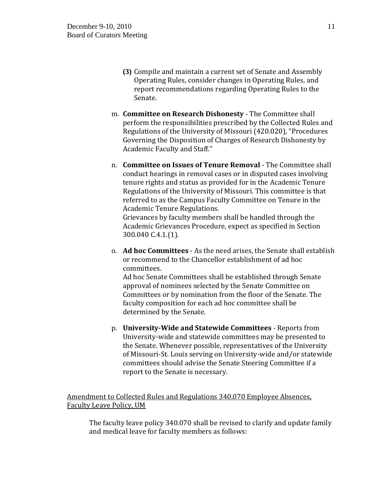- **(3)** Compile and maintain a current set of Senate and Assembly Operating Rules, consider changes in Operating Rules, and report recommendations regarding Operating Rules to the Senate.
- m. **Committee on Research Dishonesty** The Committee shall perform the responsibilities prescribed by the Collected Rules and Regulations of the University of Missouri (420.020), "Procedures Governing the Disposition of Charges of Research Dishonesty by Academic Faculty and Staff."
- n. **Committee on Issues of Tenure Removal** The Committee shall conduct hearings in removal cases or in disputed cases involving tenure rights and status as provided for in the Academic Tenure Regulations of the University of Missouri. This committee is that referred to as the Campus Faculty Committee on Tenure in the Academic Tenure Regulations.

Grievances by faculty members shall be handled through the Academic Grievances Procedure, expect as specified in Section 300.040 C.4.1.(1).

o. **Ad hoc Committees** - As the need arises, the Senate shall establish or recommend to the Chancellor establishment of ad hoc committees.

Ad hoc Senate Committees shall be established through Senate approval of nominees selected by the Senate Committee on Committees or by nomination from the floor of the Senate. The faculty composition for each ad hoc committee shall be determined by the Senate.

p. **University-Wide and Statewide Committees** - Reports from University-wide and statewide committees may be presented to the Senate. Whenever possible, representatives of the University of Missouri-St. Louis serving on University-wide and/or statewide committees should advise the Senate Steering Committee if a report to the Senate is necessary.

# Amendment to Collected Rules and Regulations 340.070 Employee Absences, Faculty Leave Policy, UM

The faculty leave policy 340.070 shall be revised to clarify and update family and medical leave for faculty members as follows: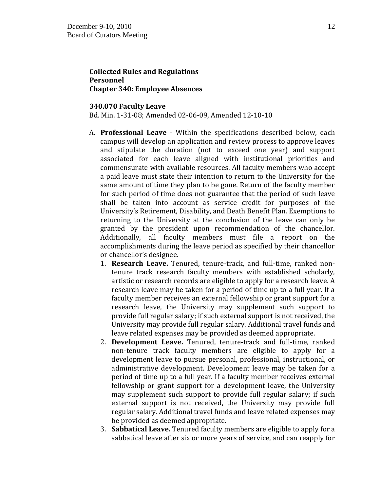### **Collected Rules and Regulations Personnel Chapter 340: Employee Absences**

#### **340.070 Faculty Leave**

Bd. Min. 1-31-08; Amended 02-06-09, Amended 12-10-10

- A. **Professional Leave**  Within the specifications described below, each campus will develop an application and review process to approve leaves and stipulate the duration (not to exceed one year) and support associated for each leave aligned with institutional priorities and commensurate with available resources. All faculty members who accept a paid leave must state their intention to return to the University for the same amount of time they plan to be gone. Return of the faculty member for such period of time does not guarantee that the period of such leave shall be taken into account as service credit for purposes of the University's Retirement, Disability, and Death Benefit Plan. Exemptions to returning to the University at the conclusion of the leave can only be granted by the president upon recommendation of the chancellor. Additionally, all faculty members must file a report on the accomplishments during the leave period as specified by their chancellor or chancellor's designee.
	- 1. **Research Leave.** Tenured, tenure-track, and full-time, ranked nontenure track research faculty members with established scholarly, artistic or research records are eligible to apply for a research leave. A research leave may be taken for a period of time up to a full year. If a faculty member receives an external fellowship or grant support for a research leave, the University may supplement such support to provide full regular salary; if such external support is not received, the University may provide full regular salary. Additional travel funds and leave related expenses may be provided as deemed appropriate.
	- 2. **Development Leave.** Tenured, tenure-track and full-time, ranked non-tenure track faculty members are eligible to apply for a development leave to pursue personal, professional, instructional, or administrative development. Development leave may be taken for a period of time up to a full year. If a faculty member receives external fellowship or grant support for a development leave, the University may supplement such support to provide full regular salary; if such external support is not received, the University may provide full regular salary. Additional travel funds and leave related expenses may be provided as deemed appropriate.
	- 3. **Sabbatical Leave.** Tenured faculty members are eligible to apply for a sabbatical leave after six or more years of service, and can reapply for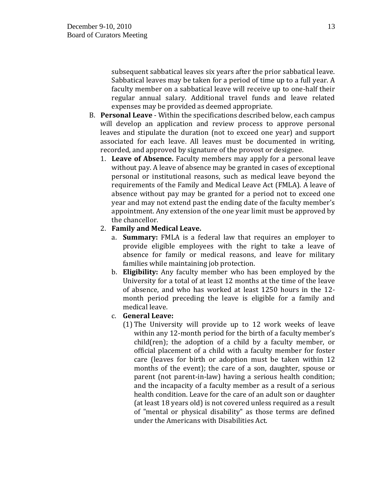subsequent sabbatical leaves six years after the prior sabbatical leave. Sabbatical leaves may be taken for a period of time up to a full year. A faculty member on a sabbatical leave will receive up to one-half their regular annual salary. Additional travel funds and leave related expenses may be provided as deemed appropriate.

- B. **Personal Leave** Within the specifications described below, each campus will develop an application and review process to approve personal leaves and stipulate the duration (not to exceed one year) and support associated for each leave. All leaves must be documented in writing, recorded, and approved by signature of the provost or designee.
	- 1. **Leave of Absence.** Faculty members may apply for a personal leave without pay. A leave of absence may be granted in cases of exceptional personal or institutional reasons, such as medical leave beyond the requirements of the Family and Medical Leave Act (FMLA). A leave of absence without pay may be granted for a period not to exceed one year and may not extend past the ending date of the faculty member's appointment. Any extension of the one year limit must be approved by the chancellor.
	- 2. **Family and Medical Leave.**
		- a. **Summary:** FMLA is a federal law that requires an employer to provide eligible employees with the right to take a leave of absence for family or medical reasons, and leave for military families while maintaining job protection.
		- b. **Eligibility:** Any faculty member who has been employed by the University for a total of at least 12 months at the time of the leave of absence, and who has worked at least 1250 hours in the 12 month period preceding the leave is eligible for a family and medical leave.
		- c. **General Leave:** 
			- (1) The University will provide up to 12 work weeks of leave within any 12-month period for the birth of a faculty member's child(ren); the adoption of a child by a faculty member, or official placement of a child with a faculty member for foster care (leaves for birth or adoption must be taken within 12 months of the event); the care of a son, daughter, spouse or parent (not parent-in-law) having a serious health condition; and the incapacity of a faculty member as a result of a serious health condition. Leave for the care of an adult son or daughter (at least 18 years old) is not covered unless required as a result of "mental or physical disability" as those terms are defined under the Americans with Disabilities Act.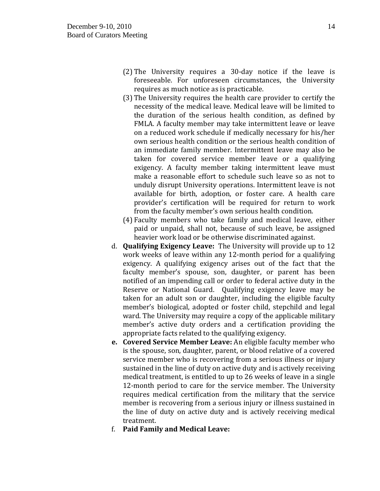- (2) The University requires a 30-day notice if the leave is foreseeable. For unforeseen circumstances, the University requires as much notice as is practicable.
- (3) The University requires the health care provider to certify the necessity of the medical leave. Medical leave will be limited to the duration of the serious health condition, as defined by FMLA. A faculty member may take intermittent leave or leave on a reduced work schedule if medically necessary for his/her own serious health condition or the serious health condition of an immediate family member. Intermittent leave may also be taken for covered service member leave or a qualifying exigency. A faculty member taking intermittent leave must make a reasonable effort to schedule such leave so as not to unduly disrupt University operations. Intermittent leave is not available for birth, adoption, or foster care. A health care provider's certification will be required for return to work from the faculty member's own serious health condition.
- (4) Faculty members who take family and medical leave, either paid or unpaid, shall not, because of such leave, be assigned heavier work load or be otherwise discriminated against.
- d. **Qualifying Exigency Leave:** The University will provide up to 12 work weeks of leave within any 12-month period for a qualifying exigency. A qualifying exigency arises out of the fact that the faculty member's spouse, son, daughter, or parent has been notified of an impending call or order to federal active duty in the Reserve or National Guard. Qualifying exigency leave may be taken for an adult son or daughter, including the eligible faculty member's biological, adopted or foster child, stepchild and legal ward. The University may require a copy of the applicable military member's active duty orders and a certification providing the appropriate facts related to the qualifying exigency.
- **e. Covered Service Member Leave:** An eligible faculty member who is the spouse, son, daughter, parent, or blood relative of a covered service member who is recovering from a serious illness or injury sustained in the line of duty on active duty and is actively receiving medical treatment, is entitled to up to 26 weeks of leave in a single 12-month period to care for the service member. The University requires medical certification from the military that the service member is recovering from a serious injury or illness sustained in the line of duty on active duty and is actively receiving medical treatment.
- f. **Paid Family and Medical Leave:**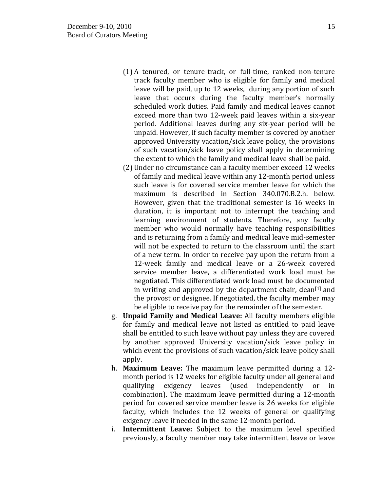- (1) A tenured, or tenure-track, or full-time, ranked non-tenure track faculty member who is eligible for family and medical leave will be paid, up to 12 weeks, during any portion of such leave that occurs during the faculty member's normally scheduled work duties. Paid family and medical leaves cannot exceed more than two 12-week paid leaves within a six-year period. Additional leaves during any six-year period will be unpaid. However, if such faculty member is covered by another approved University vacation/sick leave policy, the provisions of such vacation/sick leave policy shall apply in determining the extent to which the family and medical leave shall be paid.
- (2) Under no circumstance can a faculty member exceed 12 weeks of family and medical leave within any 12-month period unless such leave is for covered service member leave for which the maximum is described in Section 340.070.B.2.h. below. However, given that the traditional semester is 16 weeks in duration, it is important not to interrupt the teaching and learning environment of students. Therefore, any faculty member who would normally have teaching responsibilities and is returning from a family and medical leave mid-semester will not be expected to return to the classroom until the start of a new term. In order to receive pay upon the return from a 12-week family and medical leave or a 26-week covered service member leave, a differentiated work load must be negotiated. This differentiated work load must be documented in writing and approved by the department chair, dean $[1]$  and the provost or designee. If negotiated, the faculty member may be eligible to receive pay for the remainder of the semester.
- g. **Unpaid Family and Medical Leave:** All faculty members eligible for family and medical leave not listed as entitled to paid leave shall be entitled to such leave without pay unless they are covered by another approved University vacation/sick leave policy in which event the provisions of such vacation/sick leave policy shall apply.
- h. **Maximum Leave:** The maximum leave permitted during a 12 month period is 12 weeks for eligible faculty under all general and qualifying exigency leaves (used independently or in combination). The maximum leave permitted during a 12-month period for covered service member leave is 26 weeks for eligible faculty, which includes the 12 weeks of general or qualifying exigency leave if needed in the same 12-month period.
- i. **Intermittent Leave:** Subject to the maximum level specified previously, a faculty member may take intermittent leave or leave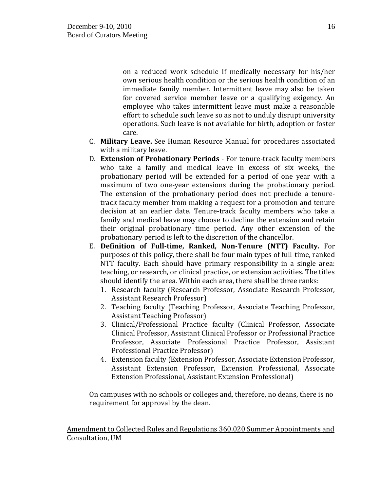on a reduced work schedule if medically necessary for his/her own serious health condition or the serious health condition of an immediate family member. Intermittent leave may also be taken for covered service member leave or a qualifying exigency. An employee who takes intermittent leave must make a reasonable effort to schedule such leave so as not to unduly disrupt university operations. Such leave is not available for birth, adoption or foster care.

- C. **Military Leave.** See Human Resource Manual for procedures associated with a military leave.
- D. **Extension of Probationary Periods**  For tenure-track faculty members who take a family and medical leave in excess of six weeks, the probationary period will be extended for a period of one year with a maximum of two one-year extensions during the probationary period. The extension of the probationary period does not preclude a tenuretrack faculty member from making a request for a promotion and tenure decision at an earlier date. Tenure-track faculty members who take a family and medical leave may choose to decline the extension and retain their original probationary time period. Any other extension of the probationary period is left to the discretion of the chancellor.
- E. **Definition of Full-time, Ranked, Non-Tenure (NTT) Faculty.** For purposes of this policy, there shall be four main types of full-time, ranked NTT faculty. Each should have primary responsibility in a single area: teaching, or research, or clinical practice, or extension activities. The titles should identify the area. Within each area, there shall be three ranks:
	- 1. Research faculty (Research Professor, Associate Research Professor, Assistant Research Professor)
	- 2. Teaching faculty (Teaching Professor, Associate Teaching Professor, Assistant Teaching Professor)
	- 3. Clinical/Professional Practice faculty (Clinical Professor, Associate Clinical Professor, Assistant Clinical Professor or Professional Practice Professor, Associate Professional Practice Professor, Assistant Professional Practice Professor)
	- 4. Extension faculty (Extension Professor, Associate Extension Professor, Assistant Extension Professor, Extension Professional, Associate Extension Professional, Assistant Extension Professional)

On campuses with no schools or colleges and, therefore, no deans, there is no requirement for approval by the dean.

Amendment to Collected Rules and Regulations 360.020 Summer Appointments and Consultation, UM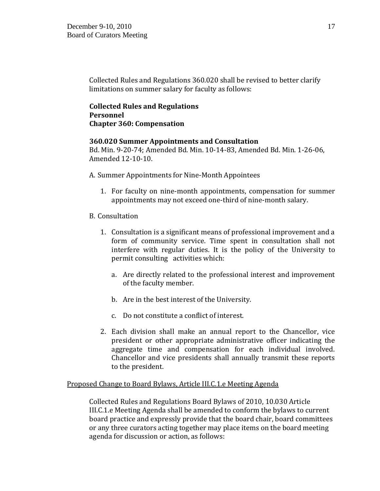Collected Rules and Regulations 360.020 shall be revised to better clarify limitations on summer salary for faculty as follows:

# **Collected Rules and Regulations Personnel Chapter 360: Compensation**

### **360.020 Summer Appointments and Consultation**

Bd. Min. 9-20-74; Amended Bd. Min. 10-14-83, Amended Bd. Min. 1-26-06, Amended 12-10-10.

A. Summer Appointments for Nine-Month Appointees

- 1. For faculty on nine-month appointments, compensation for summer appointments may not exceed one-third of nine-month salary.
- B. Consultation
	- 1. Consultation is a significant means of professional improvement and a form of community service. Time spent in consultation shall not interfere with regular duties. It is the policy of the University to permit consulting activities which:
		- a. Are directly related to the professional interest and improvement of the faculty member.
		- b. Are in the best interest of the University.
		- c. Do not constitute a conflict of interest.
	- 2. Each division shall make an annual report to the Chancellor, vice president or other appropriate administrative officer indicating the aggregate time and compensation for each individual involved. Chancellor and vice presidents shall annually transmit these reports to the president.

### Proposed Change to Board Bylaws, Article III.C.1.e Meeting Agenda

Collected Rules and Regulations Board Bylaws of 2010, 10.030 Article III.C.1.e Meeting Agenda shall be amended to conform the bylaws to current board practice and expressly provide that the board chair, board committees or any three curators acting together may place items on the board meeting agenda for discussion or action, as follows: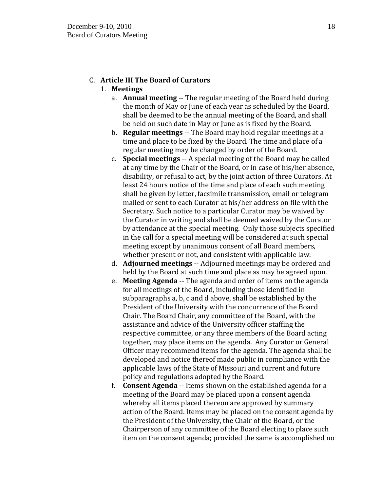# C. **Article III The Board of Curators**

### 1. **Meetings**

- a. **Annual meeting** -- The regular meeting of the Board held during the month of May or June of each year as scheduled by the Board, shall be deemed to be the annual meeting of the Board, and shall be held on such date in May or June as is fixed by the Board.
- b. **Regular meetings** -- The Board may hold regular meetings at a time and place to be fixed by the Board. The time and place of a regular meeting may be changed by order of the Board.
- c. **Special meetings** -- A special meeting of the Board may be called at any time by the Chair of the Board, or in case of his/her absence, disability, or refusal to act, by the joint action of three Curators. At least 24 hours notice of the time and place of each such meeting shall be given by letter, facsimile transmission, email or telegram mailed or sent to each Curator at his/her address on file with the Secretary. Such notice to a particular Curator may be waived by the Curator in writing and shall be deemed waived by the Curator by attendance at the special meeting. Only those subjects specified in the call for a special meeting will be considered at such special meeting except by unanimous consent of all Board members, whether present or not, and consistent with applicable law.
- d. **Adjourned meetings** -- Adjourned meetings may be ordered and held by the Board at such time and place as may be agreed upon.
- e. **Meeting Agenda** -- The agenda and order of items on the agenda for all meetings of the Board, including those identified in subparagraphs a, b, c and d above, shall be established by the President of the University with the concurrence of the Board Chair. The Board Chair, any committee of the Board, with the assistance and advice of the University officer staffing the respective committee, or any three members of the Board acting together, may place items on the agenda. Any Curator or General Officer may recommend items for the agenda. The agenda shall be developed and notice thereof made public in compliance with the applicable laws of the State of Missouri and current and future policy and regulations adopted by the Board.
- f. **Consent Agenda** -- Items shown on the established agenda for a meeting of the Board may be placed upon a consent agenda whereby all items placed thereon are approved by summary action of the Board. Items may be placed on the consent agenda by the President of the University, the Chair of the Board, or the Chairperson of any committee of the Board electing to place such item on the consent agenda; provided the same is accomplished no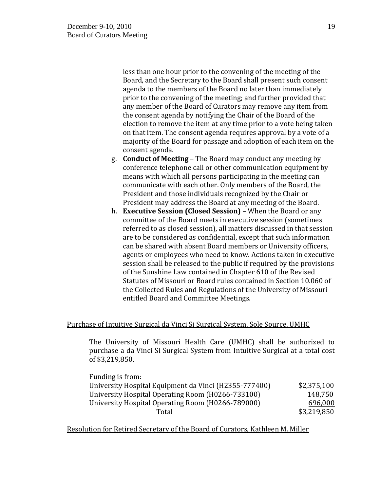less than one hour prior to the convening of the meeting of the Board, and the Secretary to the Board shall present such consent agenda to the members of the Board no later than immediately prior to the convening of the meeting; and further provided that any member of the Board of Curators may remove any item from the consent agenda by notifying the Chair of the Board of the election to remove the item at any time prior to a vote being taken on that item. The consent agenda requires approval by a vote of a majority of the Board for passage and adoption of each item on the consent agenda.

- g. **Conduct of Meeting** The Board may conduct any meeting by conference telephone call or other communication equipment by means with which all persons participating in the meeting can communicate with each other. Only members of the Board, the President and those individuals recognized by the Chair or President may address the Board at any meeting of the Board.
- h. **Executive Session (Closed Session)** When the Board or any committee of the Board meets in executive session (sometimes referred to as closed session), all matters discussed in that session are to be considered as confidential, except that such information can be shared with absent Board members or University officers, agents or employees who need to know. Actions taken in executive session shall be released to the public if required by the provisions of the Sunshine Law contained in Chapter 610 of the Revised Statutes of Missouri or Board rules contained in Section 10.060 of the Collected Rules and Regulations of the University of Missouri entitled Board and Committee Meetings.

### Purchase of Intuitive Surgical da Vinci Si Surgical System, Sole Source, UMHC

The University of Missouri Health Care (UMHC) shall be authorized to purchase a da Vinci Si Surgical System from Intuitive Surgical at a total cost of \$3,219,850.

| Funding is from:                                      |             |
|-------------------------------------------------------|-------------|
| University Hospital Equipment da Vinci (H2355-777400) | \$2,375,100 |
| University Hospital Operating Room (H0266-733100)     | 148.750     |
| University Hospital Operating Room (H0266-789000)     | 696,000     |
| Total                                                 | \$3,219,850 |

Resolution for Retired Secretary of the Board of Curators, Kathleen M. Miller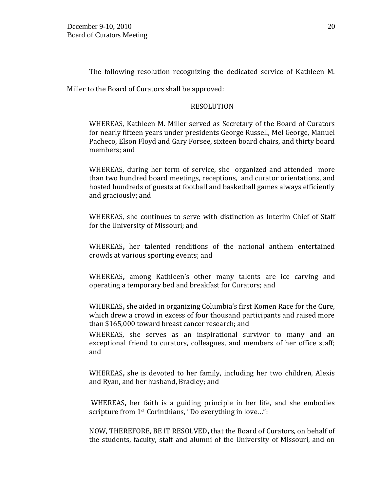The following resolution recognizing the dedicated service of Kathleen M.

Miller to the Board of Curators shall be approved:

### RESOLUTION

WHEREAS, Kathleen M. Miller served as Secretary of the Board of Curators for nearly fifteen years under presidents George Russell, Mel George, Manuel Pacheco, Elson Floyd and Gary Forsee, sixteen board chairs, and thirty board members; and

WHEREAS, during her term of service, she organized and attended more than two hundred board meetings, receptions, and curator orientations, and hosted hundreds of guests at football and basketball games always efficiently and graciously; and

WHEREAS, she continues to serve with distinction as Interim Chief of Staff for the University of Missouri; and

WHEREAS**,** her talented renditions of the national anthem entertained crowds at various sporting events; and

WHEREAS**,** among Kathleen's other many talents are ice carving and operating a temporary bed and breakfast for Curators; and

WHEREAS**,** she aided in organizing Columbia's first Komen Race for the Cure, which drew a crowd in excess of four thousand participants and raised more than \$165,000 toward breast cancer research; and

WHEREAS, she serves as an inspirational survivor to many and an exceptional friend to curators, colleagues, and members of her office staff; and

WHEREAS**,** she is devoted to her family, including her two children, Alexis and Ryan, and her husband, Bradley; and

WHEREAS**,** her faith is a guiding principle in her life, and she embodies scripture from 1st Corinthians, "Do everything in love…":

NOW, THEREFORE, BE IT RESOLVED**,** that the Board of Curators, on behalf of the students, faculty, staff and alumni of the University of Missouri, and on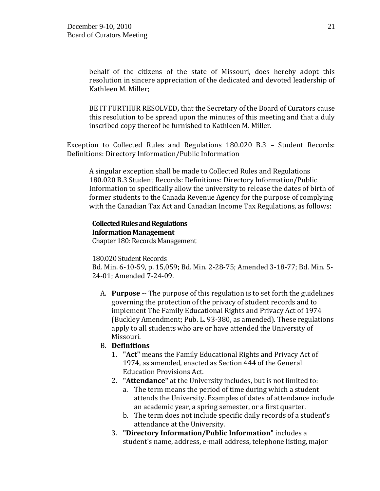behalf of the citizens of the state of Missouri, does hereby adopt this resolution in sincere appreciation of the dedicated and devoted leadership of Kathleen M. Miller;

BE IT FURTHUR RESOLVED**,** that the Secretary of the Board of Curators cause this resolution to be spread upon the minutes of this meeting and that a duly inscribed copy thereof be furnished to Kathleen M. Miller.

Exception to Collected Rules and Regulations 180.020 B.3 – Student Records: Definitions: Directory Information/Public Information

A singular exception shall be made to Collected Rules and Regulations 180.020 B.3 Student Records: Definitions: Directory Information/Public Information to specifically allow the university to release the dates of birth of former students to the Canada Revenue Agency for the purpose of complying with the Canadian Tax Act and Canadian Income Tax Regulations, as follows:

# **Collected Rules and Regulations Information Management**

Chapter 180: Records Management

### 180.020 Student Records

Bd. Min. 6-10-59, p. 15,059; Bd. Min. 2-28-75; Amended 3-18-77; Bd. Min. 5- 24-01; Amended 7-24-09.

A. **Purpose** -- The purpose of this regulation is to set forth the guidelines governing the protection of the privacy of student records and to implement The Family Educational Rights and Privacy Act of 1974 (Buckley Amendment; Pub. L. 93-380, as amended). These regulations apply to all students who are or have attended the University of Missouri.

# B. **Definitions**

- 1. **"Act"** means the Family Educational Rights and Privacy Act of 1974, as amended, enacted as Section 444 of the General Education Provisions Act.
- 2. **"Attendance"** at the University includes, but is not limited to:
	- a. The term means the period of time during which a student attends the University. Examples of dates of attendance include an academic year, a spring semester, or a first quarter.
	- b. The term does not include specific daily records of a student's attendance at the University.
- 3. **"Directory Information/Public Information"** includes a student's name, address, e-mail address, telephone listing, major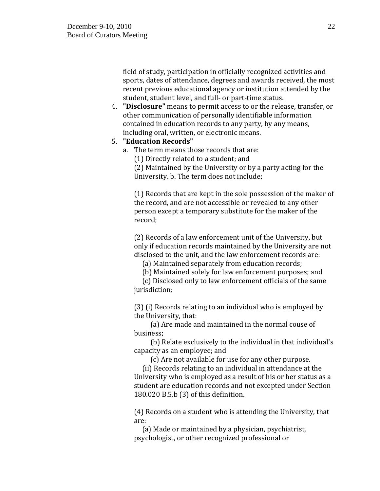field of study, participation in officially recognized activities and sports, dates of attendance, degrees and awards received, the most recent previous educational agency or institution attended by the student, student level, and full- or part-time status.

4. **"Disclosure"** means to permit access to or the release, transfer, or other communication of personally identifiable information contained in education records to any party, by any means, including oral, written, or electronic means.

# 5. **"Education Records"**

a. The term means those records that are:

(1) Directly related to a student; and

(2) Maintained by the University or by a party acting for the University. b. The term does not include:

(1) Records that are kept in the sole possession of the maker of the record, and are not accessible or revealed to any other person except a temporary substitute for the maker of the record;

(2) Records of a law enforcement unit of the University, but only if education records maintained by the University are not disclosed to the unit, and the law enforcement records are:

(a) Maintained separately from education records;

(b) Maintained solely for law enforcement purposes; and

 (c) Disclosed only to law enforcement officials of the same jurisdiction;

(3) (i) Records relating to an individual who is employed by the University, that:

 (a) Are made and maintained in the normal couse of business;

 (b) Relate exclusively to the individual in that individual's capacity as an employee; and

(c) Are not available for use for any other purpose.

 (ii) Records relating to an individual in attendance at the University who is employed as a result of his or her status as a student are education records and not excepted under Section 180.020 B.5.b (3) of this definition.

(4) Records on a student who is attending the University, that are:

 (a) Made or maintained by a physician, psychiatrist, psychologist, or other recognized professional or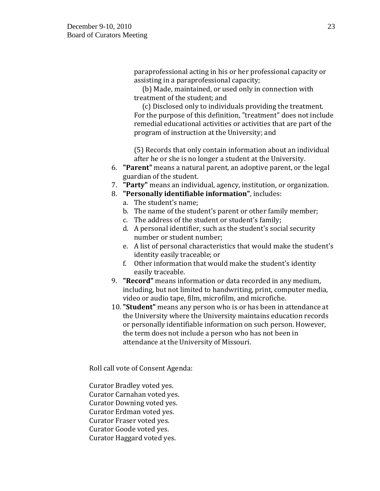paraprofessional acting in his or her professional capacity or assisting in a paraprofessional capacity;

 (b) Made, maintained, or used only in connection with treatment of the student; and

 (c) Disclosed only to individuals providing the treatment. For the purpose of this definition, "treatment" does not include remedial educational activities or activities that are part of the program of instruction at the University; and

(5) Records that only contain information about an individual after he or she is no longer a student at the University.

- 6. **"Parent"** means a natural parent, an adoptive parent, or the legal guardian of the student.
- 7. **"Party"** means an individual, agency, institution, or organization.
- 8. **"Personally identifiable information"**, includes:
	- a. The student's name;
	- b. The name of the student's parent or other family member;
	- c. The address of the student or student's family;
	- d. A personal identifier, such as the student's social security number or student number;
	- e. A list of personal characteristics that would make the student's identity easily traceable; or
	- f. Other information that would make the student's identity easily traceable.
- 9. **"Record"** means information or data recorded in any medium, including, but not limited to handwriting, print, computer media, video or audio tape, film, microfilm, and microfiche.
- 10. **"Student"** means any person who is or has been in attendance at the University where the University maintains education records or personally identifiable information on such person. However, the term does not include a person who has not been in attendance at the University of Missouri.

Roll call vote of Consent Agenda:

Curator Bradley voted yes. Curator Carnahan voted yes. Curator Downing voted yes. Curator Erdman voted yes. Curator Fraser voted yes. Curator Goode voted yes. Curator Haggard voted yes.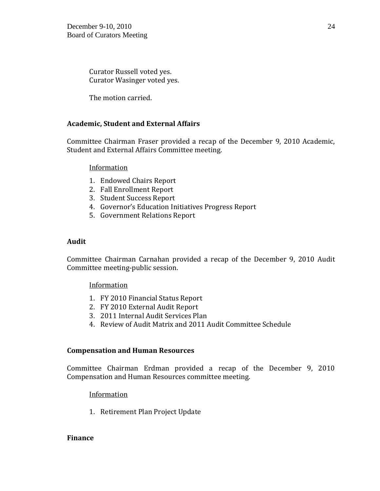Curator Russell voted yes. Curator Wasinger voted yes.

The motion carried.

# **Academic, Student and External Affairs**

Committee Chairman Fraser provided a recap of the December 9, 2010 Academic, Student and External Affairs Committee meeting.

### Information

- 1. Endowed Chairs Report
- 2. Fall Enrollment Report
- 3. Student Success Report
- 4. Governor's Education Initiatives Progress Report
- 5. Government Relations Report

### **Audit**

Committee Chairman Carnahan provided a recap of the December 9, 2010 Audit Committee meeting-public session.

# **Information**

- 1. FY 2010 Financial Status Report
- 2. FY 2010 External Audit Report
- 3. 2011 Internal Audit Services Plan
- 4. Review of Audit Matrix and 2011 Audit Committee Schedule

### **Compensation and Human Resources**

Committee Chairman Erdman provided a recap of the December 9, 2010 Compensation and Human Resources committee meeting.

# Information

1. Retirement Plan Project Update

### **Finance**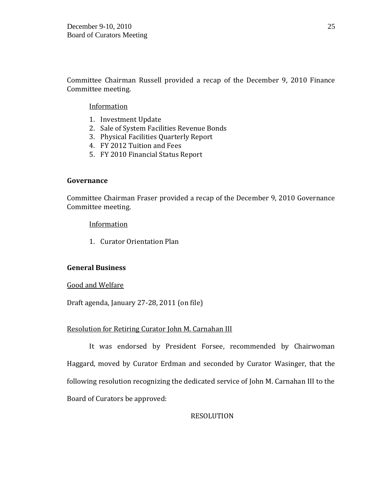Committee Chairman Russell provided a recap of the December 9, 2010 Finance Committee meeting.

### Information

- 1. Investment Update
- 2. Sale of System Facilities Revenue Bonds
- 3. Physical Facilities Quarterly Report
- 4. FY 2012 Tuition and Fees
- 5. FY 2010 Financial Status Report

### **Governance**

Committee Chairman Fraser provided a recap of the December 9, 2010 Governance Committee meeting.

**Information** 

1. Curator Orientation Plan

### **General Business**

### Good and Welfare

Draft agenda, January 27-28, 2011 (on file)

### Resolution for Retiring Curator John M. Carnahan III

It was endorsed by President Forsee, recommended by Chairwoman Haggard, moved by Curator Erdman and seconded by Curator Wasinger, that the following resolution recognizing the dedicated service of John M. Carnahan III to the Board of Curators be approved:

# RESOLUTION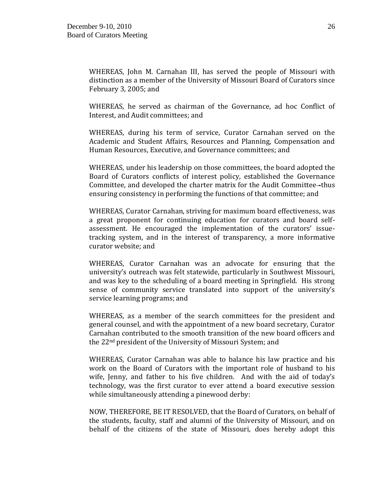WHEREAS, John M. Carnahan III, has served the people of Missouri with distinction as a member of the University of Missouri Board of Curators since February 3, 2005; and

WHEREAS, he served as chairman of the Governance, ad hoc Conflict of Interest, and Audit committees; and

WHEREAS, during his term of service, Curator Carnahan served on the Academic and Student Affairs, Resources and Planning, Compensation and Human Resources, Executive, and Governance committees; and

WHEREAS, under his leadership on those committees, the board adopted the Board of Curators conflicts of interest policy, established the Governance Committee, and developed the charter matrix for the Audit Committee -thus ensuring consistency in performing the functions of that committee; and

WHEREAS, Curator Carnahan, striving for maximum board effectiveness, was a great proponent for continuing education for curators and board selfassessment. He encouraged the implementation of the curators' issuetracking system, and in the interest of transparency, a more informative curator website; and

WHEREAS, Curator Carnahan was an advocate for ensuring that the university's outreach was felt statewide, particularly in Southwest Missouri, and was key to the scheduling of a board meeting in Springfield. His strong sense of community service translated into support of the university's service learning programs; and

WHEREAS, as a member of the search committees for the president and general counsel, and with the appointment of a new board secretary, Curator Carnahan contributed to the smooth transition of the new board officers and the 22nd president of the University of Missouri System; and

WHEREAS, Curator Carnahan was able to balance his law practice and his work on the Board of Curators with the important role of husband to his wife, Jenny, and father to his five children. And with the aid of today's technology, was the first curator to ever attend a board executive session while simultaneously attending a pinewood derby:

NOW, THEREFORE, BE IT RESOLVED, that the Board of Curators, on behalf of the students, faculty, staff and alumni of the University of Missouri, and on behalf of the citizens of the state of Missouri, does hereby adopt this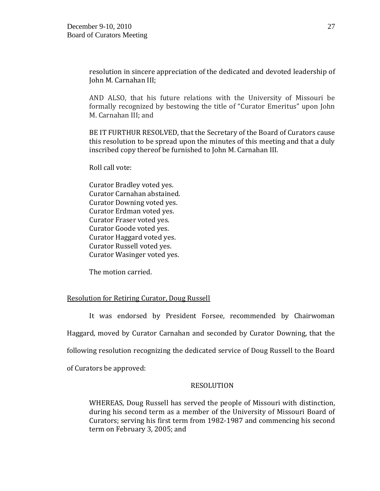resolution in sincere appreciation of the dedicated and devoted leadership of John M. Carnahan III;

AND ALSO, that his future relations with the University of Missouri be formally recognized by bestowing the title of "Curator Emeritus" upon John M. Carnahan III; and

BE IT FURTHUR RESOLVED, that the Secretary of the Board of Curators cause this resolution to be spread upon the minutes of this meeting and that a duly inscribed copy thereof be furnished to John M. Carnahan III.

Roll call vote:

Curator Bradley voted yes. Curator Carnahan abstained. Curator Downing voted yes. Curator Erdman voted yes. Curator Fraser voted yes. Curator Goode voted yes. Curator Haggard voted yes. Curator Russell voted yes. Curator Wasinger voted yes.

The motion carried.

# Resolution for Retiring Curator, Doug Russell

It was endorsed by President Forsee, recommended by Chairwoman Haggard, moved by Curator Carnahan and seconded by Curator Downing, that the following resolution recognizing the dedicated service of Doug Russell to the Board of Curators be approved:

### RESOLUTION

WHEREAS, Doug Russell has served the people of Missouri with distinction, during his second term as a member of the University of Missouri Board of Curators; serving his first term from 1982-1987 and commencing his second term on February 3, 2005; and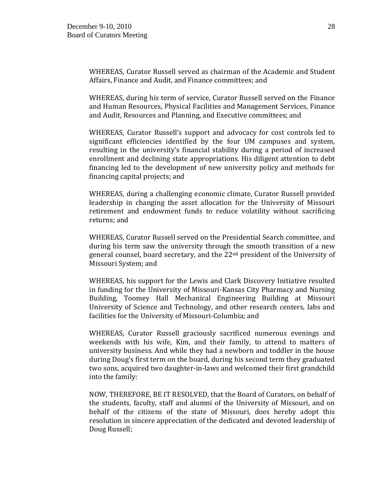WHEREAS, Curator Russell served as chairman of the Academic and Student Affairs, Finance and Audit, and Finance committees; and

WHEREAS, during his term of service, Curator Russell served on the Finance and Human Resources, Physical Facilities and Management Services, Finance and Audit, Resources and Planning, and Executive committees; and

WHEREAS, Curator Russell's support and advocacy for cost controls led to significant efficiencies identified by the four UM campuses and system, resulting in the university's financial stability during a period of increased enrollment and declining state appropriations. His diligent attention to debt financing led to the development of new university policy and methods for financing capital projects; and

WHEREAS, during a challenging economic climate, Curator Russell provided leadership in changing the asset allocation for the University of Missouri retirement and endowment funds to reduce volatility without sacrificing returns; and

WHEREAS, Curator Russell served on the Presidential Search committee, and during his term saw the university through the smooth transition of a new general counsel, board secretary, and the 22nd president of the University of Missouri System; and

WHEREAS, his support for the Lewis and Clark Discovery Initiative resulted in funding for the University of Missouri-Kansas City Pharmacy and Nursing Building, Toomey Hall Mechanical Engineering Building at Missouri University of Science and Technology, and other research centers, labs and facilities for the University of Missouri-Columbia; and

WHEREAS, Curator Russell graciously sacrificed numerous evenings and weekends with his wife, Kim, and their family, to attend to matters of university business. And while they had a newborn and toddler in the house during Doug's first term on the board, during his second term they graduated two sons, acquired two daughter-in-laws and welcomed their first grandchild into the family:

NOW, THEREFORE, BE IT RESOLVED, that the Board of Curators, on behalf of the students, faculty, staff and alumni of the University of Missouri, and on behalf of the citizens of the state of Missouri, does hereby adopt this resolution in sincere appreciation of the dedicated and devoted leadership of Doug Russell;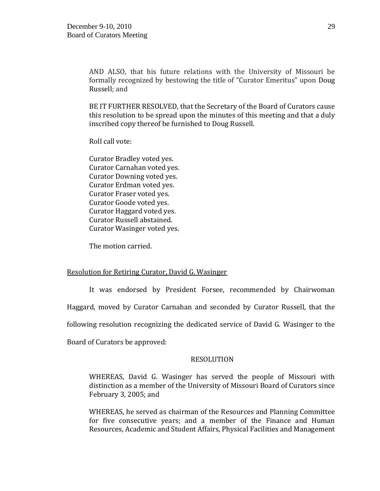AND ALSO, that his future relations with the University of Missouri be formally recognized by bestowing the title of "Curator Emeritus" upon Doug Russell; and

BE IT FURTHER RESOLVED, that the Secretary of the Board of Curators cause this resolution to be spread upon the minutes of this meeting and that a duly inscribed copy thereof be furnished to Doug Russell.

Roll call vote:

Curator Bradley voted yes. Curator Carnahan voted yes. Curator Downing voted yes. Curator Erdman voted yes. Curator Fraser voted yes. Curator Goode voted yes. Curator Haggard voted yes. Curator Russell abstained. Curator Wasinger voted yes.

The motion carried.

### Resolution for Retiring Curator, David G. Wasinger

It was endorsed by President Forsee, recommended by Chairwoman Haggard, moved by Curator Carnahan and seconded by Curator Russell, that the following resolution recognizing the dedicated service of David G. Wasinger to the Board of Curators be approved:

### **RESOLUTION**

WHEREAS, David G. Wasinger has served the people of Missouri with distinction as a member of the University of Missouri Board of Curators since February 3, 2005; and

WHEREAS, he served as chairman of the Resources and Planning Committee for five consecutive years; and a member of the Finance and Human Resources, Academic and Student Affairs, Physical Facilities and Management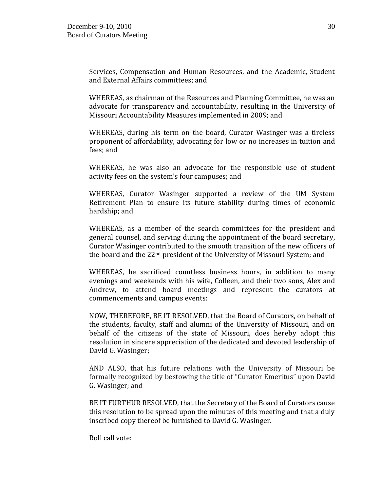Services, Compensation and Human Resources, and the Academic, Student and External Affairs committees; and

WHEREAS, as chairman of the Resources and Planning Committee, he was an advocate for transparency and accountability, resulting in the University of Missouri Accountability Measures implemented in 2009; and

WHEREAS, during his term on the board, Curator Wasinger was a tireless proponent of affordability, advocating for low or no increases in tuition and fees; and

WHEREAS, he was also an advocate for the responsible use of student activity fees on the system's four campuses; and

WHEREAS, Curator Wasinger supported a review of the UM System Retirement Plan to ensure its future stability during times of economic hardship; and

WHEREAS, as a member of the search committees for the president and general counsel, and serving during the appointment of the board secretary, Curator Wasinger contributed to the smooth transition of the new officers of the board and the 22nd president of the University of Missouri System; and

WHEREAS, he sacrificed countless business hours, in addition to many evenings and weekends with his wife, Colleen, and their two sons, Alex and Andrew, to attend board meetings and represent the curators at commencements and campus events:

NOW, THEREFORE, BE IT RESOLVED, that the Board of Curators, on behalf of the students, faculty, staff and alumni of the University of Missouri, and on behalf of the citizens of the state of Missouri, does hereby adopt this resolution in sincere appreciation of the dedicated and devoted leadership of David G. Wasinger;

AND ALSO, that his future relations with the University of Missouri be formally recognized by bestowing the title of "Curator Emeritus" upon David G. Wasinger; and

BE IT FURTHUR RESOLVED, that the Secretary of the Board of Curators cause this resolution to be spread upon the minutes of this meeting and that a duly inscribed copy thereof be furnished to David G. Wasinger.

Roll call vote: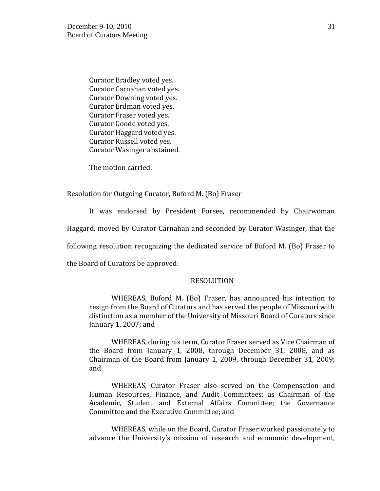Curator Bradley voted yes. Curator Carnahan voted yes. Curator Downing voted yes. Curator Erdman voted yes. Curator Fraser voted yes. Curator Goode voted yes. Curator Haggard voted yes. Curator Russell voted yes. Curator Wasinger abstained.

The motion carried.

#### Resolution for Outgoing Curator, Buford M. (Bo) Fraser

It was endorsed by President Forsee, recommended by Chairwoman

Haggard, moved by Curator Carnahan and seconded by Curator Wasinger, that the

following resolution recognizing the dedicated service of Buford M. (Bo) Fraser to

the Board of Curators be approved:

#### RESOLUTION

 WHEREAS, Buford M. (Bo) Fraser, has announced his intention to resign from the Board of Curators and has served the people of Missouri with distinction as a member of the University of Missouri Board of Curators since January 1, 2007; and

WHEREAS, during his term, Curator Fraser served as Vice Chairman of the Board from January 1, 2008, through December 31, 2008, and as Chairman of the Board from January 1, 2009, through December 31, 2009; and

WHEREAS, Curator Fraser also served on the Compensation and Human Resources, Finance, and Audit Committees; as Chairman of the Academic, Student and External Affairs Committee; the Governance Committee and the Executive Committee; and

WHEREAS, while on the Board, Curator Fraser worked passionately to advance the University's mission of research and economic development,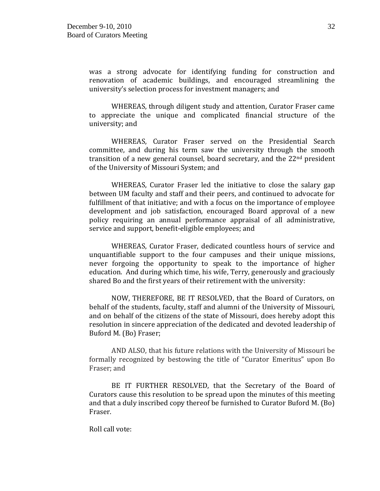was a strong advocate for identifying funding for construction and renovation of academic buildings, and encouraged streamlining the university's selection process for investment managers; and

WHEREAS, through diligent study and attention, Curator Fraser came to appreciate the unique and complicated financial structure of the university; and

WHEREAS, Curator Fraser served on the Presidential Search committee, and during his term saw the university through the smooth transition of a new general counsel, board secretary, and the  $22<sup>nd</sup>$  president of the University of Missouri System; and

WHEREAS, Curator Fraser led the initiative to close the salary gap between UM faculty and staff and their peers, and continued to advocate for fulfillment of that initiative; and with a focus on the importance of employee development and job satisfaction, encouraged Board approval of a new policy requiring an annual performance appraisal of all administrative, service and support, benefit-eligible employees; and

WHEREAS, Curator Fraser, dedicated countless hours of service and unquantifiable support to the four campuses and their unique missions, never forgoing the opportunity to speak to the importance of higher education. And during which time, his wife, Terry, generously and graciously shared Bo and the first years of their retirement with the university:

NOW, THEREFORE, BE IT RESOLVED, that the Board of Curators, on behalf of the students, faculty, staff and alumni of the University of Missouri, and on behalf of the citizens of the state of Missouri, does hereby adopt this resolution in sincere appreciation of the dedicated and devoted leadership of Buford M. (Bo) Fraser;

AND ALSO, that his future relations with the University of Missouri be formally recognized by bestowing the title of "Curator Emeritus" upon Bo Fraser; and

BE IT FURTHER RESOLVED, that the Secretary of the Board of Curators cause this resolution to be spread upon the minutes of this meeting and that a duly inscribed copy thereof be furnished to Curator Buford M. (Bo) Fraser.

Roll call vote: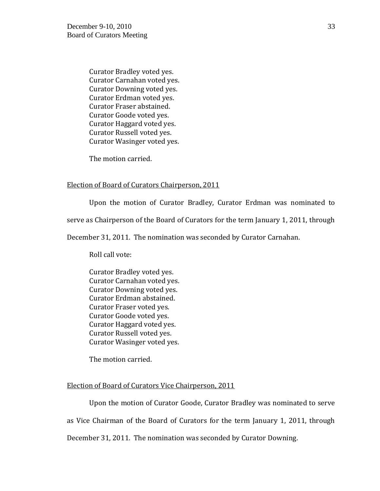Curator Bradley voted yes. Curator Carnahan voted yes. Curator Downing voted yes. Curator Erdman voted yes. Curator Fraser abstained. Curator Goode voted yes. Curator Haggard voted yes. Curator Russell voted yes. Curator Wasinger voted yes.

The motion carried.

#### Election of Board of Curators Chairperson, 2011

Upon the motion of Curator Bradley, Curator Erdman was nominated to

serve as Chairperson of the Board of Curators for the term January 1, 2011, through

December 31, 2011. The nomination was seconded by Curator Carnahan.

Roll call vote:

Curator Bradley voted yes. Curator Carnahan voted yes. Curator Downing voted yes. Curator Erdman abstained. Curator Fraser voted yes. Curator Goode voted yes. Curator Haggard voted yes. Curator Russell voted yes. Curator Wasinger voted yes.

The motion carried.

### Election of Board of Curators Vice Chairperson, 2011

Upon the motion of Curator Goode, Curator Bradley was nominated to serve as Vice Chairman of the Board of Curators for the term January 1, 2011, through December 31, 2011. The nomination was seconded by Curator Downing.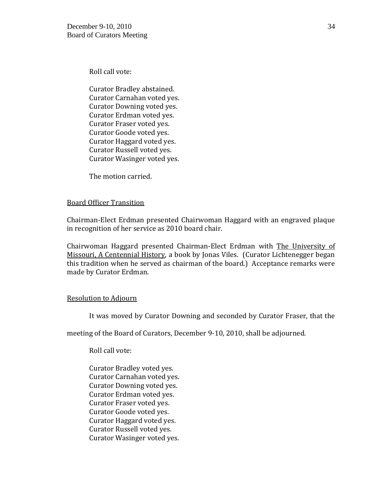Roll call vote:

Curator Bradley abstained. Curator Carnahan voted yes. Curator Downing voted yes. Curator Erdman voted yes. Curator Fraser voted yes. Curator Goode voted yes. Curator Haggard voted yes. Curator Russell voted yes. Curator Wasinger voted yes.

The motion carried.

# Board Officer Transition

Chairman-Elect Erdman presented Chairwoman Haggard with an engraved plaque in recognition of her service as 2010 board chair.

Chairwoman Haggard presented Chairman-Elect Erdman with The University of Missouri, A Centennial History, a book by Jonas Viles. (Curator Lichtenegger began this tradition when he served as chairman of the board.) Acceptance remarks were made by Curator Erdman.

### Resolution to Adjourn

It was moved by Curator Downing and seconded by Curator Fraser, that the

meeting of the Board of Curators, December 9-10, 2010, shall be adjourned.

Roll call vote:

Curator Bradley voted yes. Curator Carnahan voted yes. Curator Downing voted yes. Curator Erdman voted yes. Curator Fraser voted yes. Curator Goode voted yes. Curator Haggard voted yes. Curator Russell voted yes. Curator Wasinger voted yes.